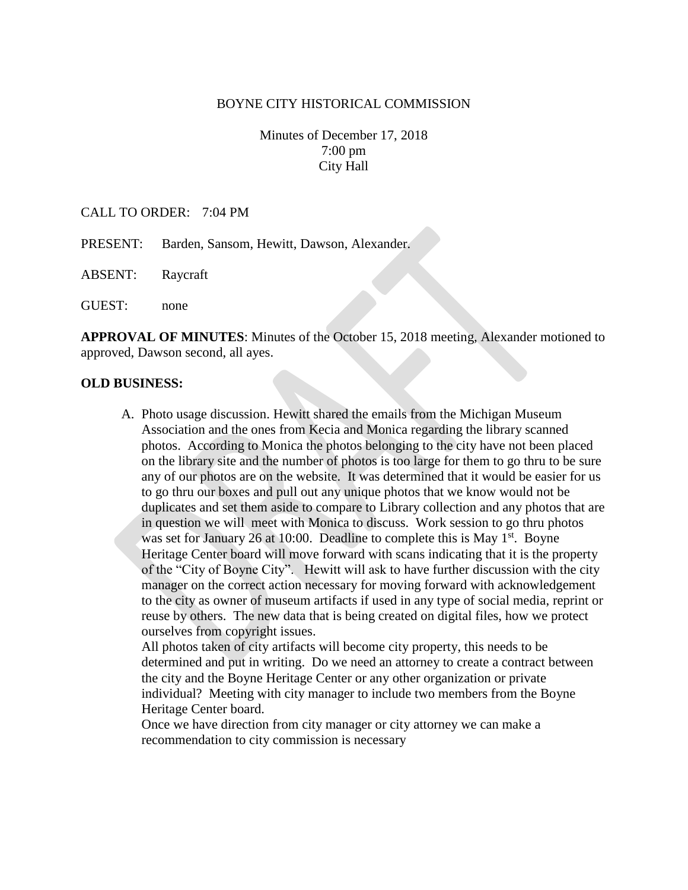#### BOYNE CITY HISTORICAL COMMISSION

Minutes of December 17, 2018 7:00 pm City Hall

## CALL TO ORDER: 7:04 PM

- PRESENT: Barden, Sansom, Hewitt, Dawson, Alexander.
- ABSENT: Raycraft

GUEST: none

**APPROVAL OF MINUTES**: Minutes of the October 15, 2018 meeting, Alexander motioned to approved, Dawson second, all ayes.

#### **OLD BUSINESS:**

A. Photo usage discussion. Hewitt shared the emails from the Michigan Museum Association and the ones from Kecia and Monica regarding the library scanned photos. According to Monica the photos belonging to the city have not been placed on the library site and the number of photos is too large for them to go thru to be sure any of our photos are on the website. It was determined that it would be easier for us to go thru our boxes and pull out any unique photos that we know would not be duplicates and set them aside to compare to Library collection and any photos that are in question we will meet with Monica to discuss. Work session to go thru photos was set for January 26 at 10:00. Deadline to complete this is May  $1<sup>st</sup>$ . Boyne Heritage Center board will move forward with scans indicating that it is the property of the "City of Boyne City". Hewitt will ask to have further discussion with the city manager on the correct action necessary for moving forward with acknowledgement to the city as owner of museum artifacts if used in any type of social media, reprint or reuse by others. The new data that is being created on digital files, how we protect ourselves from copyright issues.

All photos taken of city artifacts will become city property, this needs to be determined and put in writing. Do we need an attorney to create a contract between the city and the Boyne Heritage Center or any other organization or private individual? Meeting with city manager to include two members from the Boyne Heritage Center board.

Once we have direction from city manager or city attorney we can make a recommendation to city commission is necessary